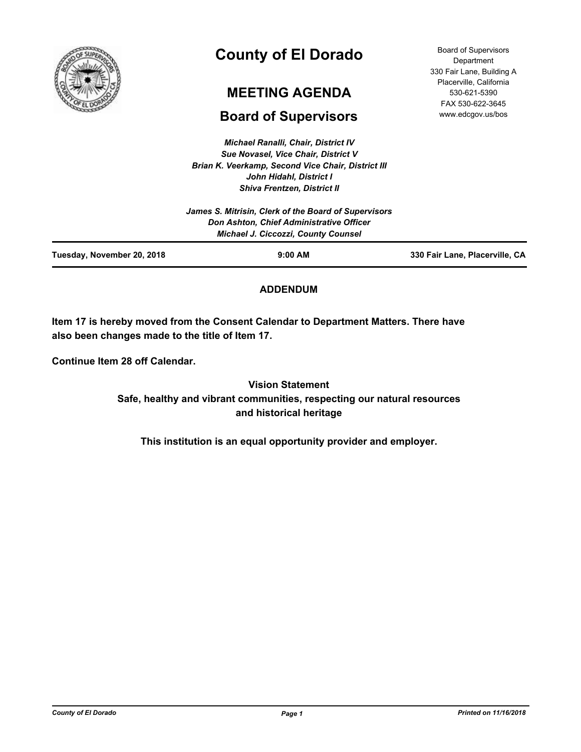

# **County of El Dorado**

# **MEETING AGENDA**

# **Board of Supervisors**

*Michael Ranalli, Chair, District IV Sue Novasel, Vice Chair, District V Brian K. Veerkamp, Second Vice Chair, District III John Hidahl, District I*

Board of Supervisors Department 330 Fair Lane, Building A Placerville, California 530-621-5390 FAX 530-622-3645 www.edcgov.us/bos

| Tuesday, November 20, 2018 | $9:00$ AM                                                                                                                                      | 330 Fair Lane, Placerville, CA |
|----------------------------|------------------------------------------------------------------------------------------------------------------------------------------------|--------------------------------|
|                            | James S. Mitrisin, Clerk of the Board of Supervisors<br>Don Ashton, Chief Administrative Officer<br><b>Michael J. Ciccozzi, County Counsel</b> |                                |
|                            | <b>Shiva Frentzen, District II</b>                                                                                                             |                                |

# **ADDENDUM**

**Item 17 is hereby moved from the Consent Calendar to Department Matters. There have also been changes made to the title of Item 17.**

**Continue Item 28 off Calendar.**

**Vision Statement Safe, healthy and vibrant communities, respecting our natural resources and historical heritage**

**This institution is an equal opportunity provider and employer.**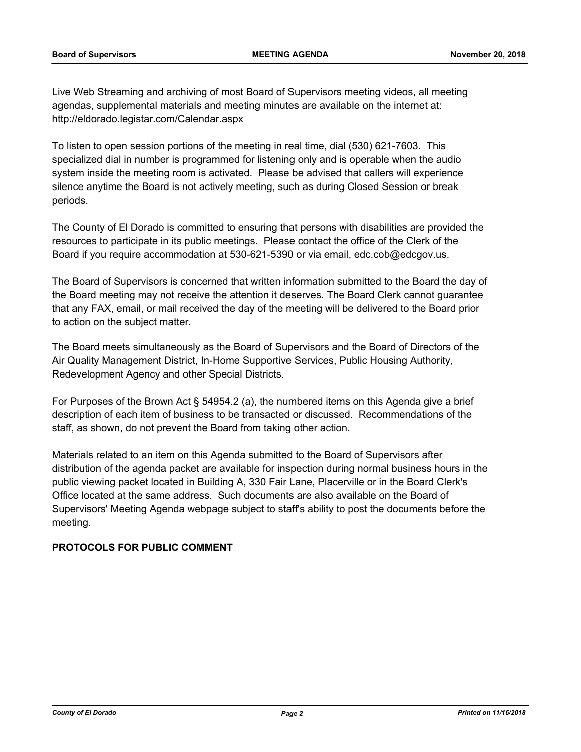Live Web Streaming and archiving of most Board of Supervisors meeting videos, all meeting agendas, supplemental materials and meeting minutes are available on the internet at: http://eldorado.legistar.com/Calendar.aspx

To listen to open session portions of the meeting in real time, dial (530) 621-7603. This specialized dial in number is programmed for listening only and is operable when the audio system inside the meeting room is activated. Please be advised that callers will experience silence anytime the Board is not actively meeting, such as during Closed Session or break periods.

The County of El Dorado is committed to ensuring that persons with disabilities are provided the resources to participate in its public meetings. Please contact the office of the Clerk of the Board if you require accommodation at 530-621-5390 or via email, edc.cob@edcgov.us.

The Board of Supervisors is concerned that written information submitted to the Board the day of the Board meeting may not receive the attention it deserves. The Board Clerk cannot guarantee that any FAX, email, or mail received the day of the meeting will be delivered to the Board prior to action on the subject matter.

The Board meets simultaneously as the Board of Supervisors and the Board of Directors of the Air Quality Management District, In-Home Supportive Services, Public Housing Authority, Redevelopment Agency and other Special Districts.

For Purposes of the Brown Act § 54954.2 (a), the numbered items on this Agenda give a brief description of each item of business to be transacted or discussed. Recommendations of the staff, as shown, do not prevent the Board from taking other action.

Materials related to an item on this Agenda submitted to the Board of Supervisors after distribution of the agenda packet are available for inspection during normal business hours in the public viewing packet located in Building A, 330 Fair Lane, Placerville or in the Board Clerk's Office located at the same address. Such documents are also available on the Board of Supervisors' Meeting Agenda webpage subject to staff's ability to post the documents before the meeting.

## **PROTOCOLS FOR PUBLIC COMMENT**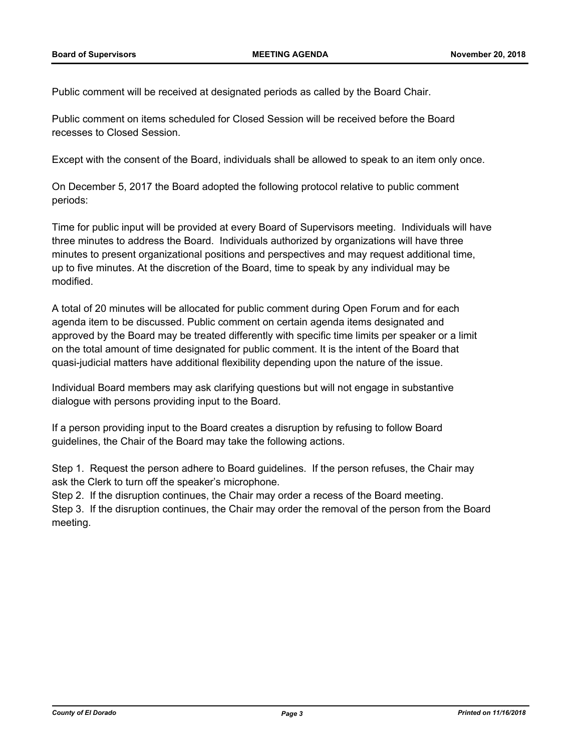Public comment will be received at designated periods as called by the Board Chair.

Public comment on items scheduled for Closed Session will be received before the Board recesses to Closed Session.

Except with the consent of the Board, individuals shall be allowed to speak to an item only once.

On December 5, 2017 the Board adopted the following protocol relative to public comment periods:

Time for public input will be provided at every Board of Supervisors meeting. Individuals will have three minutes to address the Board. Individuals authorized by organizations will have three minutes to present organizational positions and perspectives and may request additional time, up to five minutes. At the discretion of the Board, time to speak by any individual may be modified.

A total of 20 minutes will be allocated for public comment during Open Forum and for each agenda item to be discussed. Public comment on certain agenda items designated and approved by the Board may be treated differently with specific time limits per speaker or a limit on the total amount of time designated for public comment. It is the intent of the Board that quasi-judicial matters have additional flexibility depending upon the nature of the issue.

Individual Board members may ask clarifying questions but will not engage in substantive dialogue with persons providing input to the Board.

If a person providing input to the Board creates a disruption by refusing to follow Board guidelines, the Chair of the Board may take the following actions.

Step 1. Request the person adhere to Board guidelines. If the person refuses, the Chair may ask the Clerk to turn off the speaker's microphone.

Step 2. If the disruption continues, the Chair may order a recess of the Board meeting.

Step 3. If the disruption continues, the Chair may order the removal of the person from the Board meeting.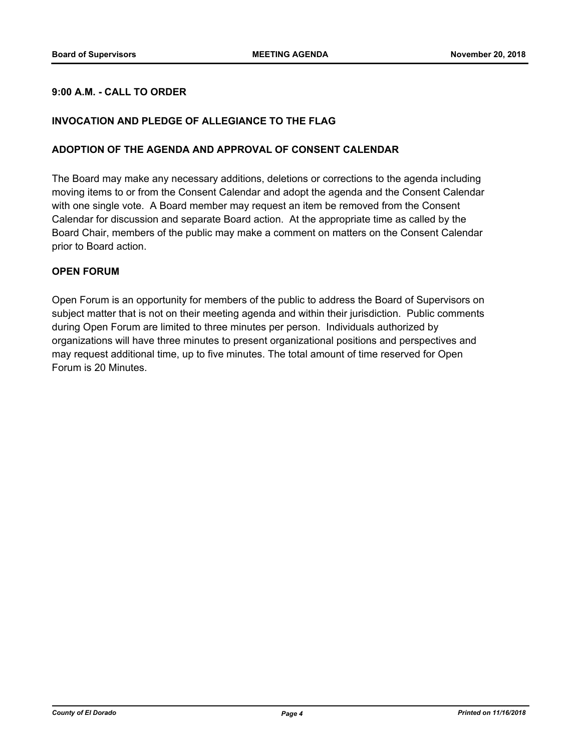# **9:00 A.M. - CALL TO ORDER**

#### **INVOCATION AND PLEDGE OF ALLEGIANCE TO THE FLAG**

#### **ADOPTION OF THE AGENDA AND APPROVAL OF CONSENT CALENDAR**

The Board may make any necessary additions, deletions or corrections to the agenda including moving items to or from the Consent Calendar and adopt the agenda and the Consent Calendar with one single vote. A Board member may request an item be removed from the Consent Calendar for discussion and separate Board action. At the appropriate time as called by the Board Chair, members of the public may make a comment on matters on the Consent Calendar prior to Board action.

#### **OPEN FORUM**

Open Forum is an opportunity for members of the public to address the Board of Supervisors on subject matter that is not on their meeting agenda and within their jurisdiction. Public comments during Open Forum are limited to three minutes per person. Individuals authorized by organizations will have three minutes to present organizational positions and perspectives and may request additional time, up to five minutes. The total amount of time reserved for Open Forum is 20 Minutes.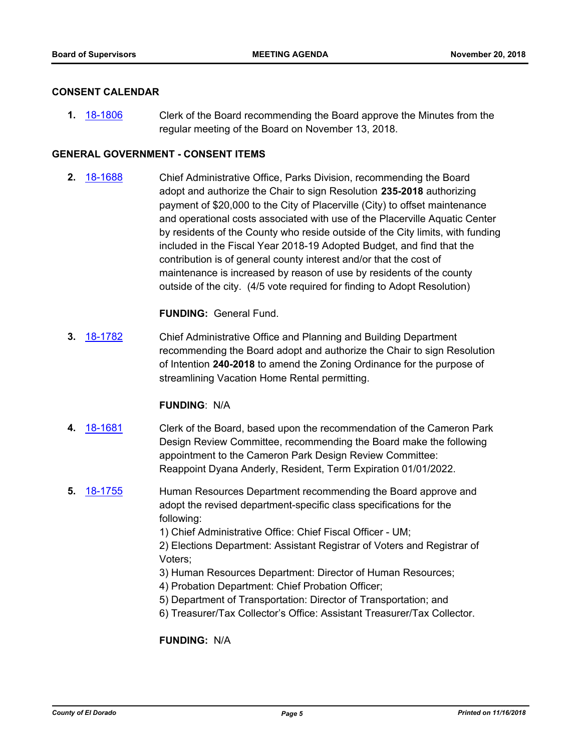#### **CONSENT CALENDAR**

**1.** [18-1806](http://eldorado.legistar.com/gateway.aspx?m=l&id=/matter.aspx?key=25157) Clerk of the Board recommending the Board approve the Minutes from the regular meeting of the Board on November 13, 2018.

#### **GENERAL GOVERNMENT - CONSENT ITEMS**

**2.** [18-1688](http://eldorado.legistar.com/gateway.aspx?m=l&id=/matter.aspx?key=25039) Chief Administrative Office, Parks Division, recommending the Board adopt and authorize the Chair to sign Resolution **235-2018** authorizing payment of \$20,000 to the City of Placerville (City) to offset maintenance and operational costs associated with use of the Placerville Aquatic Center by residents of the County who reside outside of the City limits, with funding included in the Fiscal Year 2018-19 Adopted Budget, and find that the contribution is of general county interest and/or that the cost of maintenance is increased by reason of use by residents of the county outside of the city. (4/5 vote required for finding to Adopt Resolution)

#### **FUNDING:** General Fund.

**3.** [18-1782](http://eldorado.legistar.com/gateway.aspx?m=l&id=/matter.aspx?key=25133) Chief Administrative Office and Planning and Building Department recommending the Board adopt and authorize the Chair to sign Resolution of Intention **240-2018** to amend the Zoning Ordinance for the purpose of streamlining Vacation Home Rental permitting.

#### **FUNDING**: N/A

- **4.** [18-1681](http://eldorado.legistar.com/gateway.aspx?m=l&id=/matter.aspx?key=25032) Clerk of the Board, based upon the recommendation of the Cameron Park Design Review Committee, recommending the Board make the following appointment to the Cameron Park Design Review Committee: Reappoint Dyana Anderly, Resident, Term Expiration 01/01/2022.
- **5.** [18-1755](http://eldorado.legistar.com/gateway.aspx?m=l&id=/matter.aspx?key=25106) Human Resources Department recommending the Board approve and adopt the revised department-specific class specifications for the following:

1) Chief Administrative Office: Chief Fiscal Officer - UM;

2) Elections Department: Assistant Registrar of Voters and Registrar of Voters;

- 3) Human Resources Department: Director of Human Resources;
- 4) Probation Department: Chief Probation Officer;
- 5) Department of Transportation: Director of Transportation; and
- 6) Treasurer/Tax Collector's Office: Assistant Treasurer/Tax Collector.

**FUNDING:** N/A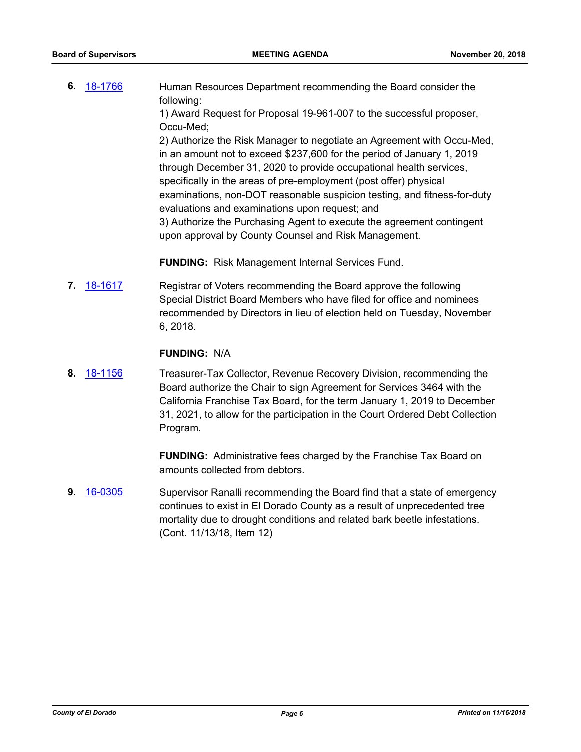**6.** [18-1766](http://eldorado.legistar.com/gateway.aspx?m=l&id=/matter.aspx?key=25117) Human Resources Department recommending the Board consider the following:

1) Award Request for Proposal 19-961-007 to the successful proposer, Occu-Med;

2) Authorize the Risk Manager to negotiate an Agreement with Occu-Med, in an amount not to exceed \$237,600 for the period of January 1, 2019 through December 31, 2020 to provide occupational health services, specifically in the areas of pre-employment (post offer) physical examinations, non-DOT reasonable suspicion testing, and fitness-for-duty evaluations and examinations upon request; and 3) Authorize the Purchasing Agent to execute the agreement contingent upon approval by County Counsel and Risk Management.

**FUNDING:** Risk Management Internal Services Fund.

**7.** [18-1617](http://eldorado.legistar.com/gateway.aspx?m=l&id=/matter.aspx?key=24968) Registrar of Voters recommending the Board approve the following Special District Board Members who have filed for office and nominees recommended by Directors in lieu of election held on Tuesday, November 6, 2018.

#### **FUNDING:** N/A

**8.** [18-1156](http://eldorado.legistar.com/gateway.aspx?m=l&id=/matter.aspx?key=24506) Treasurer-Tax Collector, Revenue Recovery Division, recommending the Board authorize the Chair to sign Agreement for Services 3464 with the California Franchise Tax Board, for the term January 1, 2019 to December 31, 2021, to allow for the participation in the Court Ordered Debt Collection Program.

> **FUNDING:** Administrative fees charged by the Franchise Tax Board on amounts collected from debtors.

**9.** [16-0305](http://eldorado.legistar.com/gateway.aspx?m=l&id=/matter.aspx?key=20961) Supervisor Ranalli recommending the Board find that a state of emergency continues to exist in El Dorado County as a result of unprecedented tree mortality due to drought conditions and related bark beetle infestations. (Cont. 11/13/18, Item 12)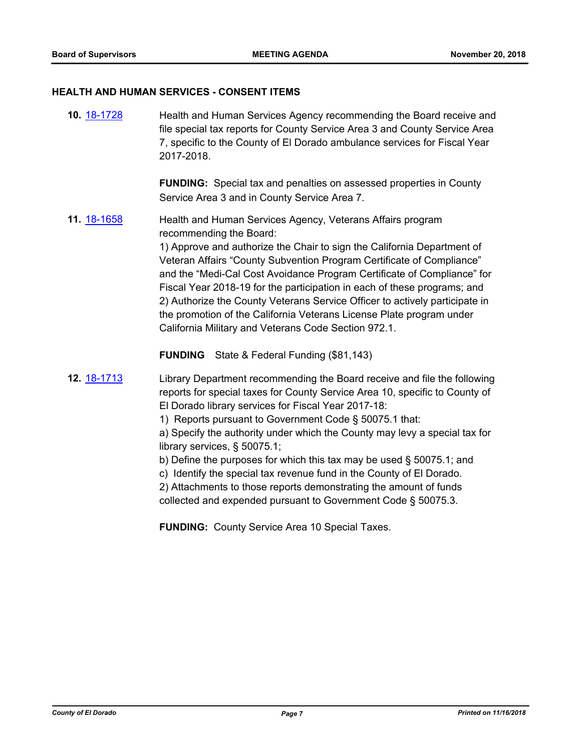#### **HEALTH AND HUMAN SERVICES - CONSENT ITEMS**

**10.** [18-1728](http://eldorado.legistar.com/gateway.aspx?m=l&id=/matter.aspx?key=25079) Health and Human Services Agency recommending the Board receive and file special tax reports for County Service Area 3 and County Service Area 7, specific to the County of El Dorado ambulance services for Fiscal Year 2017-2018.

> **FUNDING:** Special tax and penalties on assessed properties in County Service Area 3 and in County Service Area 7.

**11.** [18-1658](http://eldorado.legistar.com/gateway.aspx?m=l&id=/matter.aspx?key=25009) Health and Human Services Agency, Veterans Affairs program recommending the Board:

> 1) Approve and authorize the Chair to sign the California Department of Veteran Affairs "County Subvention Program Certificate of Compliance" and the "Medi-Cal Cost Avoidance Program Certificate of Compliance" for Fiscal Year 2018-19 for the participation in each of these programs; and 2) Authorize the County Veterans Service Officer to actively participate in the promotion of the California Veterans License Plate program under California Military and Veterans Code Section 972.1.

**FUNDING** State & Federal Funding (\$81,143)

**12.** [18-1713](http://eldorado.legistar.com/gateway.aspx?m=l&id=/matter.aspx?key=25064) Library Department recommending the Board receive and file the following reports for special taxes for County Service Area 10, specific to County of El Dorado library services for Fiscal Year 2017-18:

1) Reports pursuant to Government Code § 50075.1 that:

a) Specify the authority under which the County may levy a special tax for library services, § 50075.1;

- b) Define the purposes for which this tax may be used § 50075.1; and
- c) Identify the special tax revenue fund in the County of El Dorado.

2) Attachments to those reports demonstrating the amount of funds collected and expended pursuant to Government Code § 50075.3.

**FUNDING:** County Service Area 10 Special Taxes.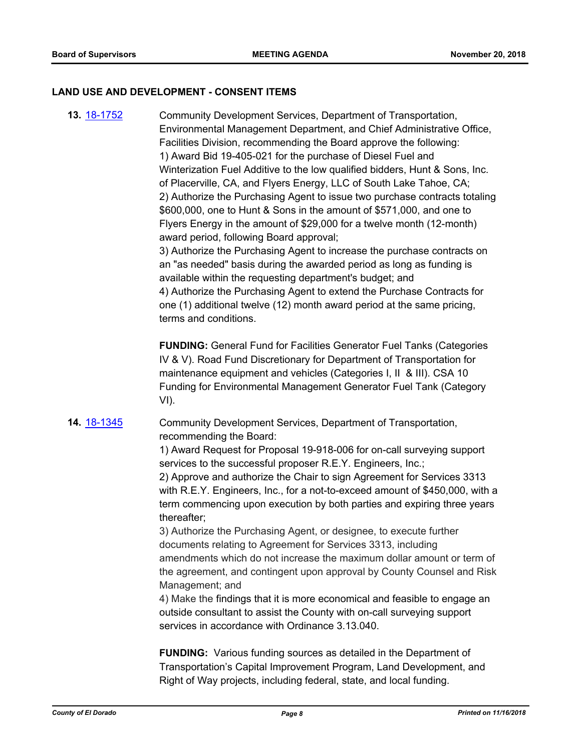#### **LAND USE AND DEVELOPMENT - CONSENT ITEMS**

**13.** [18-1752](http://eldorado.legistar.com/gateway.aspx?m=l&id=/matter.aspx?key=25103) Community Development Services, Department of Transportation, Environmental Management Department, and Chief Administrative Office, Facilities Division, recommending the Board approve the following: 1) Award Bid 19-405-021 for the purchase of Diesel Fuel and Winterization Fuel Additive to the low qualified bidders, Hunt & Sons, Inc. of Placerville, CA, and Flyers Energy, LLC of South Lake Tahoe, CA; 2) Authorize the Purchasing Agent to issue two purchase contracts totaling \$600,000, one to Hunt & Sons in the amount of \$571,000, and one to Flyers Energy in the amount of \$29,000 for a twelve month (12-month) award period, following Board approval; 3) Authorize the Purchasing Agent to increase the purchase contracts on an "as needed" basis during the awarded period as long as funding is available within the requesting department's budget; and 4) Authorize the Purchasing Agent to extend the Purchase Contracts for one (1) additional twelve (12) month award period at the same pricing, terms and conditions. **FUNDING:** General Fund for Facilities Generator Fuel Tanks (Categories IV & V). Road Fund Discretionary for Department of Transportation for maintenance equipment and vehicles (Categories I, II & III). CSA 10 Funding for Environmental Management Generator Fuel Tank (Category VI). **14.** [18-1345](http://eldorado.legistar.com/gateway.aspx?m=l&id=/matter.aspx?key=24696) Community Development Services, Department of Transportation, recommending the Board: 1) Award Request for Proposal 19-918-006 for on-call surveying support services to the successful proposer R.E.Y. Engineers, Inc.; 2) Approve and authorize the Chair to sign Agreement for Services 3313 with R.E.Y. Engineers, Inc., for a not-to-exceed amount of \$450,000, with a term commencing upon execution by both parties and expiring three years thereafter; 3) Authorize the Purchasing Agent, or designee, to execute further documents relating to Agreement for Services 3313, including amendments which do not increase the maximum dollar amount or term of the agreement, and contingent upon approval by County Counsel and Risk Management; and 4) Make the findings that it is more economical and feasible to engage an outside consultant to assist the County with on-call surveying support services in accordance with Ordinance 3.13.040.

> **FUNDING:** Various funding sources as detailed in the Department of Transportation's Capital Improvement Program, Land Development, and Right of Way projects, including federal, state, and local funding.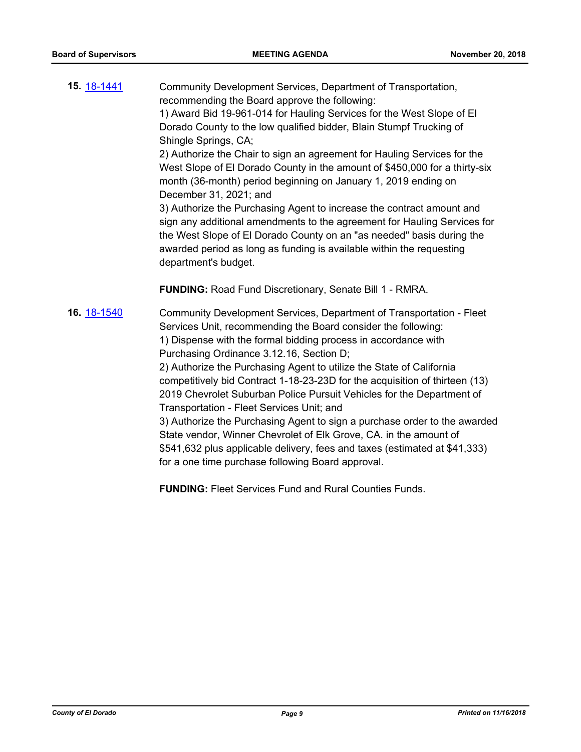**15.** [18-1441](http://eldorado.legistar.com/gateway.aspx?m=l&id=/matter.aspx?key=24793) Community Development Services, Department of Transportation, recommending the Board approve the following: 1) Award Bid 19-961-014 for Hauling Services for the West Slope of El Dorado County to the low qualified bidder, Blain Stumpf Trucking of Shingle Springs, CA; 2) Authorize the Chair to sign an agreement for Hauling Services for the West Slope of El Dorado County in the amount of \$450,000 for a thirty-six month (36-month) period beginning on January 1, 2019 ending on December 31, 2021; and 3) Authorize the Purchasing Agent to increase the contract amount and sign any additional amendments to the agreement for Hauling Services for the West Slope of El Dorado County on an "as needed" basis during the awarded period as long as funding is available within the requesting department's budget. **FUNDING:** Road Fund Discretionary, Senate Bill 1 - RMRA. **16.** [18-1540](http://eldorado.legistar.com/gateway.aspx?m=l&id=/matter.aspx?key=24891) Community Development Services, Department of Transportation - Fleet Services Unit, recommending the Board consider the following: 1) Dispense with the formal bidding process in accordance with Purchasing Ordinance 3.12.16, Section D; 2) Authorize the Purchasing Agent to utilize the State of California competitively bid Contract 1-18-23-23D for the acquisition of thirteen (13) 2019 Chevrolet Suburban Police Pursuit Vehicles for the Department of Transportation - Fleet Services Unit; and 3) Authorize the Purchasing Agent to sign a purchase order to the awarded State vendor, Winner Chevrolet of Elk Grove, CA. in the amount of \$541,632 plus applicable delivery, fees and taxes (estimated at \$41,333)

**FUNDING:** Fleet Services Fund and Rural Counties Funds.

for a one time purchase following Board approval.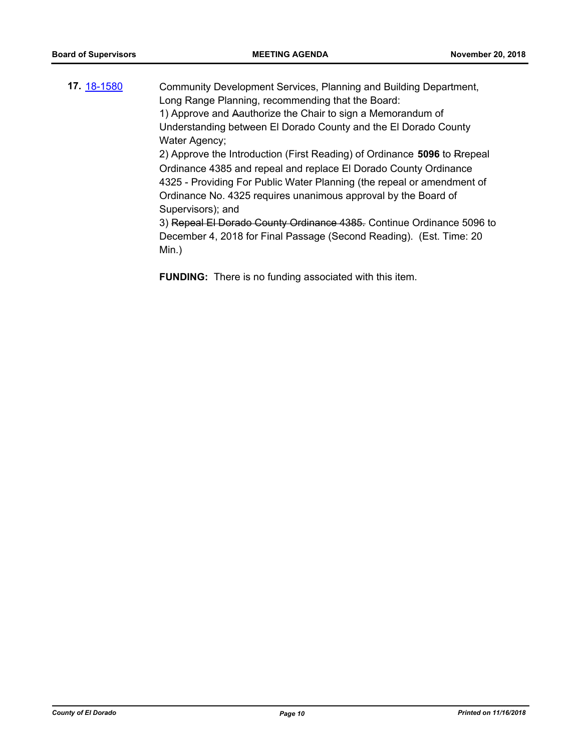- **17.** [18-1580](http://eldorado.legistar.com/gateway.aspx?m=l&id=/matter.aspx?key=24931) Community Development Services, Planning and Building Department, Long Range Planning, recommending that the Board: 1) Approve and Aauthorize the Chair to sign a Memorandum of Understanding between El Dorado County and the El Dorado County Water Agency; 2) Approve the Introduction (First Reading) of Ordinance **5096** to Rrepeal Ordinance 4385 and repeal and replace El Dorado County Ordinance 4325 - Providing For Public Water Planning (the repeal or amendment of Ordinance No. 4325 requires unanimous approval by the Board of Supervisors); and 3) Repeal El Dorado County Ordinance 4385. Continue Ordinance 5096 to December 4, 2018 for Final Passage (Second Reading). (Est. Time: 20 Min.)
	- **FUNDING:** There is no funding associated with this item.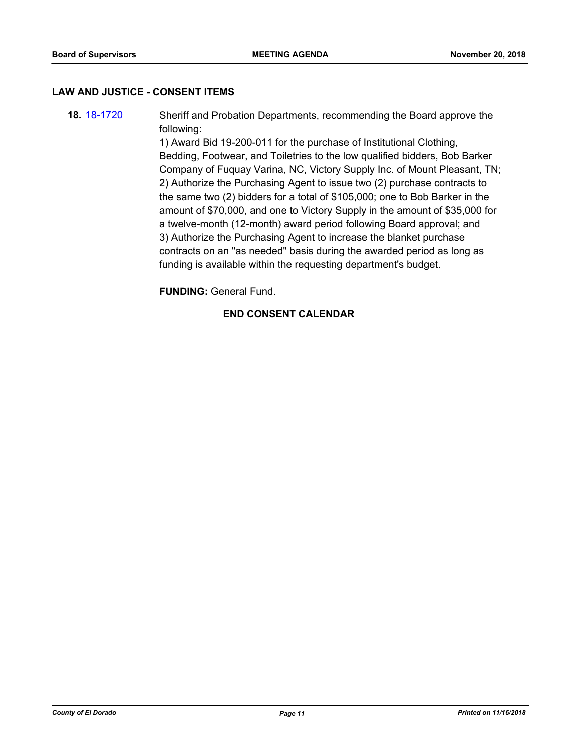#### **LAW AND JUSTICE - CONSENT ITEMS**

**18.** [18-1720](http://eldorado.legistar.com/gateway.aspx?m=l&id=/matter.aspx?key=25071) Sheriff and Probation Departments, recommending the Board approve the following:

> 1) Award Bid 19-200-011 for the purchase of Institutional Clothing, Bedding, Footwear, and Toiletries to the low qualified bidders, Bob Barker Company of Fuquay Varina, NC, Victory Supply Inc. of Mount Pleasant, TN; 2) Authorize the Purchasing Agent to issue two (2) purchase contracts to the same two (2) bidders for a total of \$105,000; one to Bob Barker in the amount of \$70,000, and one to Victory Supply in the amount of \$35,000 for a twelve-month (12-month) award period following Board approval; and 3) Authorize the Purchasing Agent to increase the blanket purchase contracts on an "as needed" basis during the awarded period as long as funding is available within the requesting department's budget.

**FUNDING:** General Fund.

# **END CONSENT CALENDAR**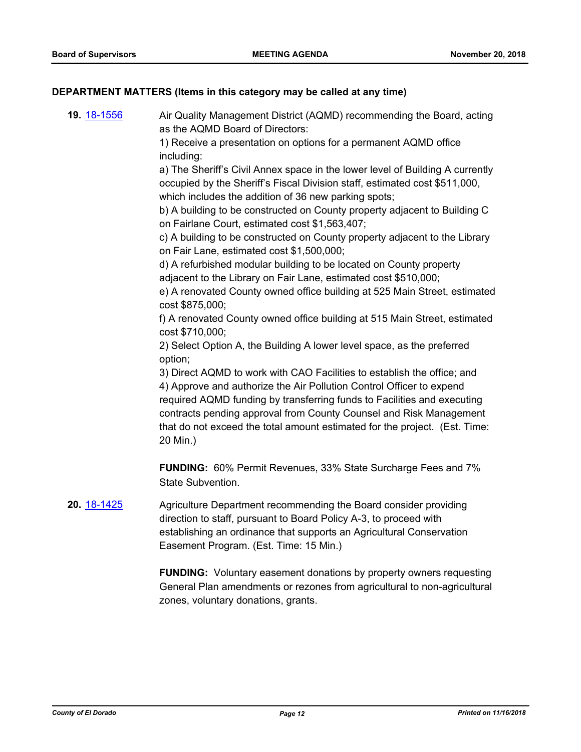# **DEPARTMENT MATTERS (Items in this category may be called at any time)**

| 19. 18-1556 | Air Quality Management District (AQMD) recommending the Board, acting<br>as the AQMD Board of Directors:<br>1) Receive a presentation on options for a permanent AQMD office<br>including:<br>a) The Sheriff's Civil Annex space in the lower level of Building A currently<br>occupied by the Sheriff's Fiscal Division staff, estimated cost \$511,000,<br>which includes the addition of 36 new parking spots;<br>b) A building to be constructed on County property adjacent to Building C<br>on Fairlane Court, estimated cost \$1,563,407;<br>c) A building to be constructed on County property adjacent to the Library<br>on Fair Lane, estimated cost \$1,500,000;<br>d) A refurbished modular building to be located on County property<br>adjacent to the Library on Fair Lane, estimated cost \$510,000;<br>e) A renovated County owned office building at 525 Main Street, estimated<br>cost \$875,000;<br>f) A renovated County owned office building at 515 Main Street, estimated<br>cost \$710,000;<br>2) Select Option A, the Building A lower level space, as the preferred<br>option;<br>3) Direct AQMD to work with CAO Facilities to establish the office; and<br>4) Approve and authorize the Air Pollution Control Officer to expend<br>required AQMD funding by transferring funds to Facilities and executing<br>contracts pending approval from County Counsel and Risk Management<br>that do not exceed the total amount estimated for the project. (Est. Time: |
|-------------|---------------------------------------------------------------------------------------------------------------------------------------------------------------------------------------------------------------------------------------------------------------------------------------------------------------------------------------------------------------------------------------------------------------------------------------------------------------------------------------------------------------------------------------------------------------------------------------------------------------------------------------------------------------------------------------------------------------------------------------------------------------------------------------------------------------------------------------------------------------------------------------------------------------------------------------------------------------------------------------------------------------------------------------------------------------------------------------------------------------------------------------------------------------------------------------------------------------------------------------------------------------------------------------------------------------------------------------------------------------------------------------------------------------------------------------------------------------------------------------------|
|             | 20 Min.)<br><b>FUNDING:</b> 60% Permit Revenues, 33% State Surcharge Fees and 7%<br>State Subvention.                                                                                                                                                                                                                                                                                                                                                                                                                                                                                                                                                                                                                                                                                                                                                                                                                                                                                                                                                                                                                                                                                                                                                                                                                                                                                                                                                                                       |
| 20. 18-1425 | Agriculture Department recommending the Board consider providing<br>direction to staff, pursuant to Board Policy A-3, to proceed with<br>establishing an ordinance that supports an Agricultural Conservation<br>Easement Program. (Est. Time: 15 Min.)                                                                                                                                                                                                                                                                                                                                                                                                                                                                                                                                                                                                                                                                                                                                                                                                                                                                                                                                                                                                                                                                                                                                                                                                                                     |
|             | <b>FUNDING:</b> Voluntary easement donations by property owners requesting<br>General Plan amendments or rezones from agricultural to non-agricultural<br>zones, voluntary donations, grants.                                                                                                                                                                                                                                                                                                                                                                                                                                                                                                                                                                                                                                                                                                                                                                                                                                                                                                                                                                                                                                                                                                                                                                                                                                                                                               |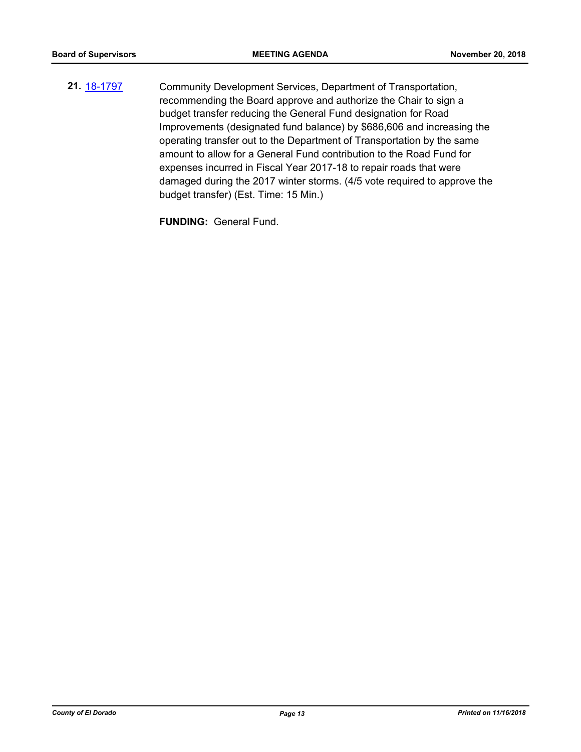**21.** [18-1797](http://eldorado.legistar.com/gateway.aspx?m=l&id=/matter.aspx?key=25148) Community Development Services, Department of Transportation, recommending the Board approve and authorize the Chair to sign a budget transfer reducing the General Fund designation for Road Improvements (designated fund balance) by \$686,606 and increasing the operating transfer out to the Department of Transportation by the same amount to allow for a General Fund contribution to the Road Fund for expenses incurred in Fiscal Year 2017-18 to repair roads that were damaged during the 2017 winter storms. (4/5 vote required to approve the budget transfer) (Est. Time: 15 Min.)

**FUNDING:** General Fund.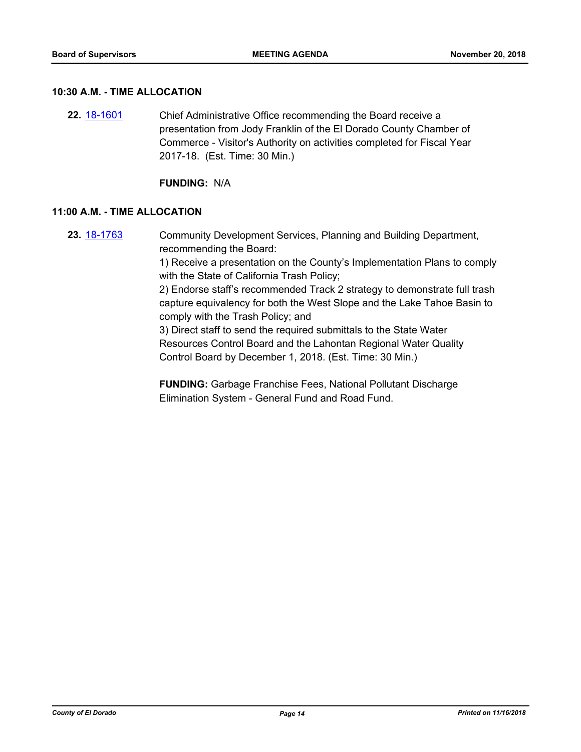#### **10:30 A.M. - TIME ALLOCATION**

**22.** [18-1601](http://eldorado.legistar.com/gateway.aspx?m=l&id=/matter.aspx?key=24952) Chief Administrative Office recommending the Board receive a presentation from Jody Franklin of the El Dorado County Chamber of Commerce - Visitor's Authority on activities completed for Fiscal Year 2017-18. (Est. Time: 30 Min.)

**FUNDING:** N/A

#### **11:00 A.M. - TIME ALLOCATION**

**23.** [18-1763](http://eldorado.legistar.com/gateway.aspx?m=l&id=/matter.aspx?key=25114) Community Development Services, Planning and Building Department, recommending the Board:

> 1) Receive a presentation on the County's Implementation Plans to comply with the State of California Trash Policy;

> 2) Endorse staff's recommended Track 2 strategy to demonstrate full trash capture equivalency for both the West Slope and the Lake Tahoe Basin to comply with the Trash Policy; and

3) Direct staff to send the required submittals to the State Water Resources Control Board and the Lahontan Regional Water Quality Control Board by December 1, 2018. (Est. Time: 30 Min.)

**FUNDING:** Garbage Franchise Fees, National Pollutant Discharge Elimination System - General Fund and Road Fund.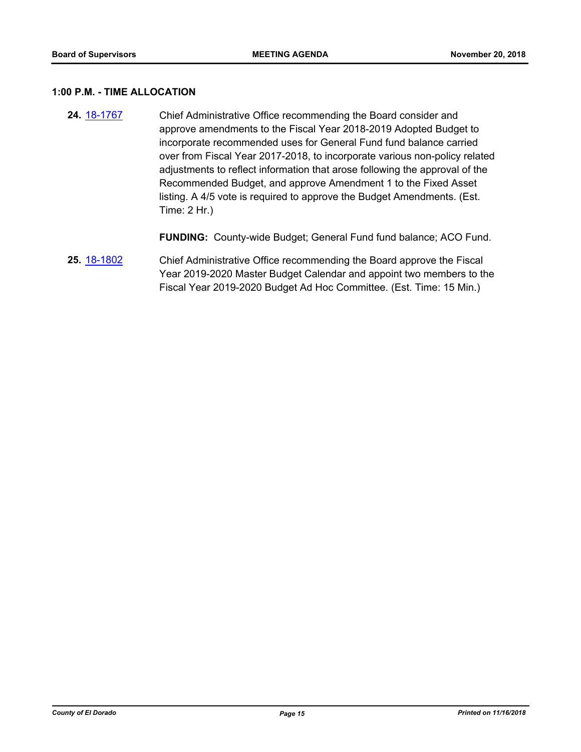#### **1:00 P.M. - TIME ALLOCATION**

**24.** [18-1767](http://eldorado.legistar.com/gateway.aspx?m=l&id=/matter.aspx?key=25118) Chief Administrative Office recommending the Board consider and approve amendments to the Fiscal Year 2018-2019 Adopted Budget to incorporate recommended uses for General Fund fund balance carried over from Fiscal Year 2017-2018, to incorporate various non-policy related adjustments to reflect information that arose following the approval of the Recommended Budget, and approve Amendment 1 to the Fixed Asset listing. A 4/5 vote is required to approve the Budget Amendments. (Est. Time: 2 Hr.)

**FUNDING:** County-wide Budget; General Fund fund balance; ACO Fund.

**25.** [18-1802](http://eldorado.legistar.com/gateway.aspx?m=l&id=/matter.aspx?key=25153) Chief Administrative Office recommending the Board approve the Fiscal Year 2019-2020 Master Budget Calendar and appoint two members to the Fiscal Year 2019-2020 Budget Ad Hoc Committee. (Est. Time: 15 Min.)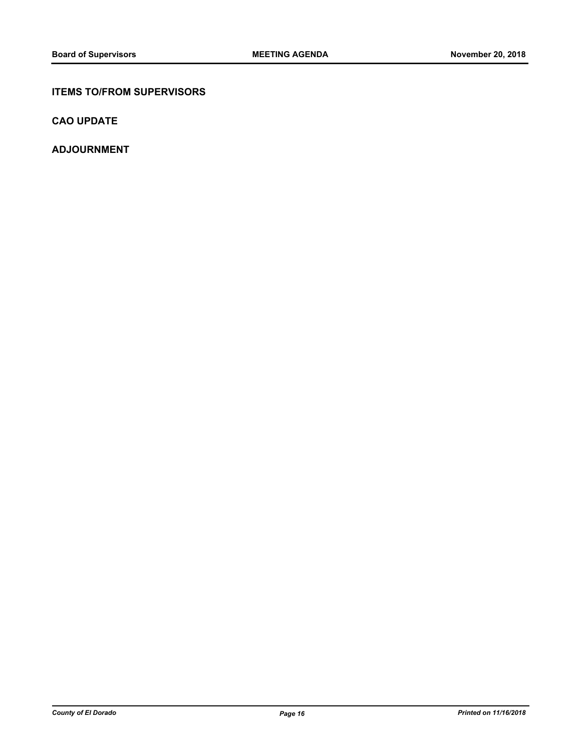## **ITEMS TO/FROM SUPERVISORS**

**CAO UPDATE**

**ADJOURNMENT**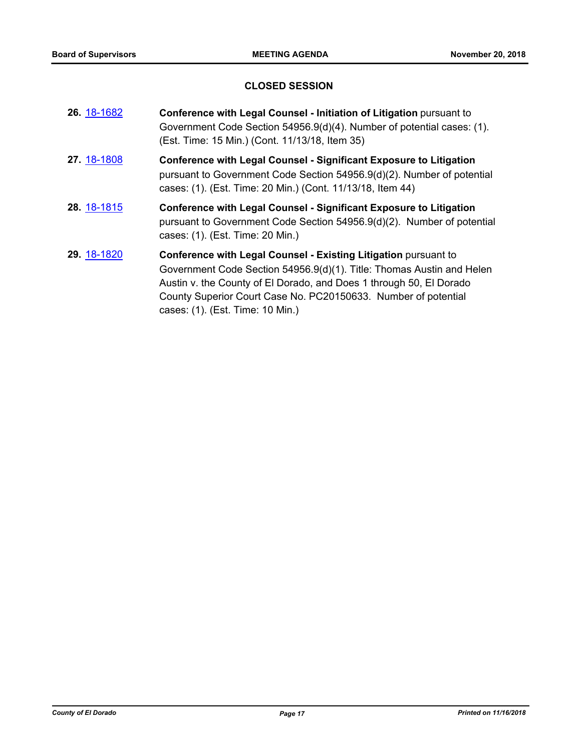# **CLOSED SESSION**

| 26. 18-1682 | Conference with Legal Counsel - Initiation of Litigation pursuant to<br>Government Code Section 54956.9(d)(4). Number of potential cases: (1).<br>(Est. Time: 15 Min.) (Cont. 11/13/18, Item 35)                                                                                                                             |
|-------------|------------------------------------------------------------------------------------------------------------------------------------------------------------------------------------------------------------------------------------------------------------------------------------------------------------------------------|
| 27. 18-1808 | <b>Conference with Legal Counsel - Significant Exposure to Litigation</b><br>pursuant to Government Code Section 54956.9(d)(2). Number of potential<br>cases: (1). (Est. Time: 20 Min.) (Cont. 11/13/18, Item 44)                                                                                                            |
| 28. 18-1815 | <b>Conference with Legal Counsel - Significant Exposure to Litigation</b><br>pursuant to Government Code Section 54956.9(d)(2). Number of potential<br>cases: (1). (Est. Time: 20 Min.)                                                                                                                                      |
| 29. 18-1820 | <b>Conference with Legal Counsel - Existing Litigation pursuant to</b><br>Government Code Section 54956.9(d)(1). Title: Thomas Austin and Helen<br>Austin v. the County of El Dorado, and Does 1 through 50, El Dorado<br>County Superior Court Case No. PC20150633. Number of potential<br>cases: (1). (Est. Time: 10 Min.) |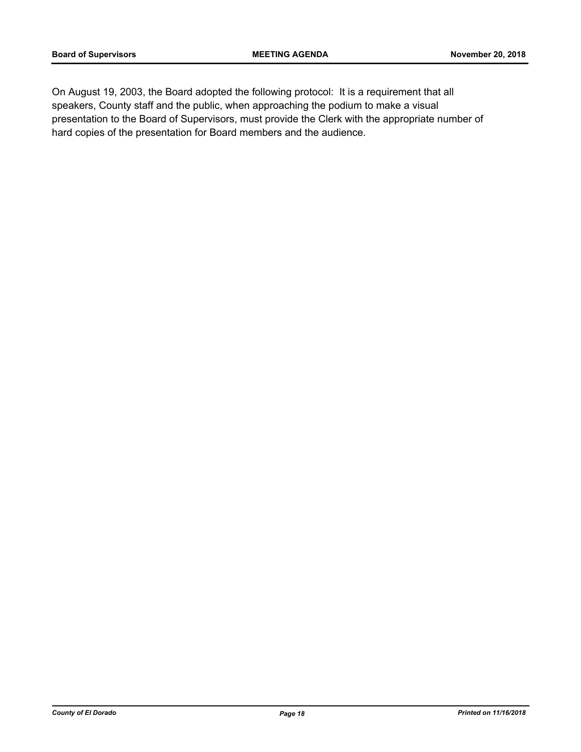On August 19, 2003, the Board adopted the following protocol: It is a requirement that all speakers, County staff and the public, when approaching the podium to make a visual presentation to the Board of Supervisors, must provide the Clerk with the appropriate number of hard copies of the presentation for Board members and the audience.